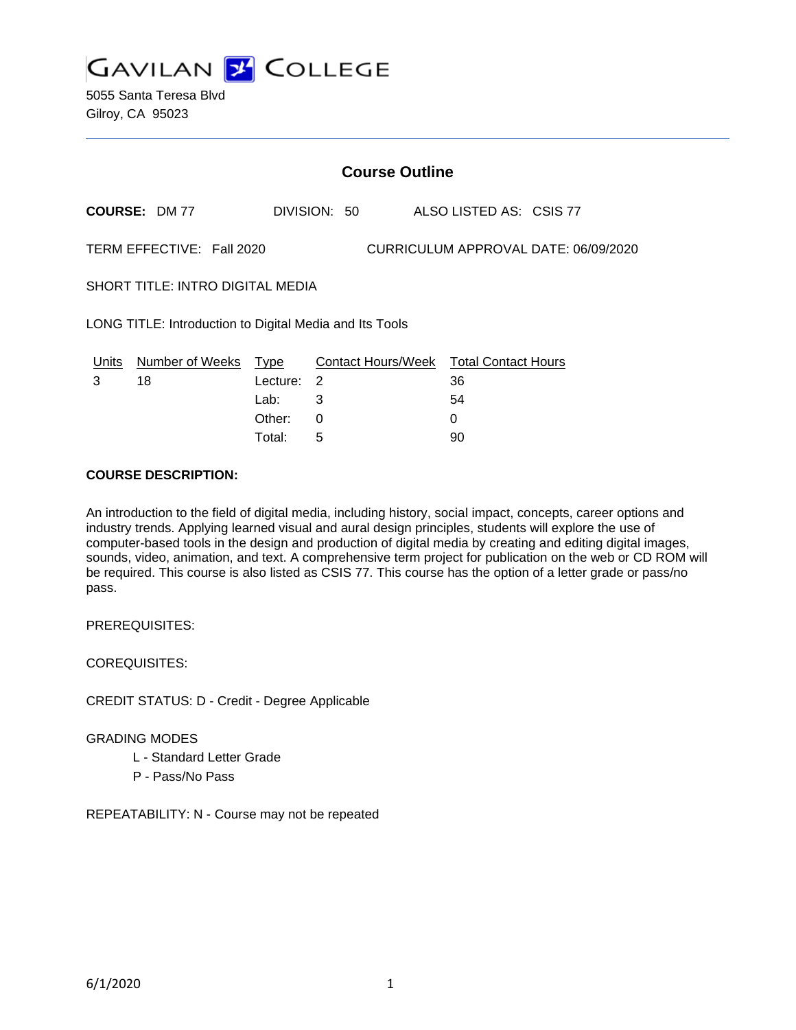

| <b>Course Outline</b>                                             |                      |          |              |                                        |  |
|-------------------------------------------------------------------|----------------------|----------|--------------|----------------------------------------|--|
|                                                                   | <b>COURSE: DM 77</b> |          | DIVISION: 50 | ALSO LISTED AS: CSIS 77                |  |
| TERM EFFECTIVE: Fall 2020<br>CURRICULUM APPROVAL DATE: 06/09/2020 |                      |          |              |                                        |  |
| SHORT TITLE: INTRO DIGITAL MEDIA                                  |                      |          |              |                                        |  |
| LONG TITLE: Introduction to Digital Media and Its Tools           |                      |          |              |                                        |  |
| Units                                                             | Number of Weeks      | Type     |              | Contact Hours/Week Total Contact Hours |  |
| 3                                                                 | 18                   | Lecture: | -2           | 36                                     |  |
|                                                                   |                      | Lab:     | 3            | 54                                     |  |
|                                                                   |                      | Other:   | $\Omega$     | 0                                      |  |
|                                                                   |                      | Total:   | 5            | 90                                     |  |

#### **COURSE DESCRIPTION:**

An introduction to the field of digital media, including history, social impact, concepts, career options and industry trends. Applying learned visual and aural design principles, students will explore the use of computer-based tools in the design and production of digital media by creating and editing digital images, sounds, video, animation, and text. A comprehensive term project for publication on the web or CD ROM will be required. This course is also listed as CSIS 77. This course has the option of a letter grade or pass/no pass.

PREREQUISITES:

COREQUISITES:

CREDIT STATUS: D - Credit - Degree Applicable

#### GRADING MODES

- L Standard Letter Grade
- P Pass/No Pass

REPEATABILITY: N - Course may not be repeated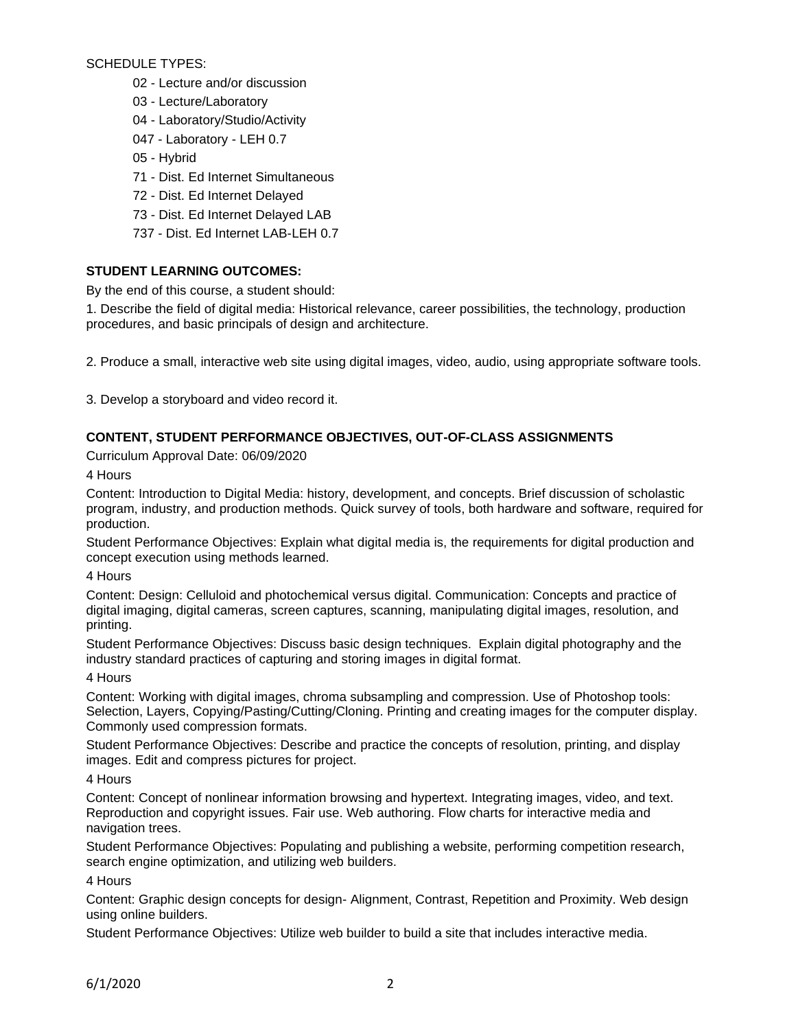SCHEDULE TYPES:

- 02 Lecture and/or discussion
- 03 Lecture/Laboratory
- 04 Laboratory/Studio/Activity
- 047 Laboratory LEH 0.7
- 05 Hybrid
- 71 Dist. Ed Internet Simultaneous
- 72 Dist. Ed Internet Delayed
- 73 Dist. Ed Internet Delayed LAB
- 737 Dist. Ed Internet LAB-LEH 0.7

# **STUDENT LEARNING OUTCOMES:**

By the end of this course, a student should:

1. Describe the field of digital media: Historical relevance, career possibilities, the technology, production procedures, and basic principals of design and architecture.

2. Produce a small, interactive web site using digital images, video, audio, using appropriate software tools.

3. Develop a storyboard and video record it.

# **CONTENT, STUDENT PERFORMANCE OBJECTIVES, OUT-OF-CLASS ASSIGNMENTS**

Curriculum Approval Date: 06/09/2020

4 Hours

Content: Introduction to Digital Media: history, development, and concepts. Brief discussion of scholastic program, industry, and production methods. Quick survey of tools, both hardware and software, required for production.

Student Performance Objectives: Explain what digital media is, the requirements for digital production and concept execution using methods learned.

4 Hours

Content: Design: Celluloid and photochemical versus digital. Communication: Concepts and practice of digital imaging, digital cameras, screen captures, scanning, manipulating digital images, resolution, and printing.

Student Performance Objectives: Discuss basic design techniques. Explain digital photography and the industry standard practices of capturing and storing images in digital format.

4 Hours

Content: Working with digital images, chroma subsampling and compression. Use of Photoshop tools: Selection, Layers, Copying/Pasting/Cutting/Cloning. Printing and creating images for the computer display. Commonly used compression formats.

Student Performance Objectives: Describe and practice the concepts of resolution, printing, and display images. Edit and compress pictures for project.

4 Hours

Content: Concept of nonlinear information browsing and hypertext. Integrating images, video, and text. Reproduction and copyright issues. Fair use. Web authoring. Flow charts for interactive media and navigation trees.

Student Performance Objectives: Populating and publishing a website, performing competition research, search engine optimization, and utilizing web builders.

4 Hours

Content: Graphic design concepts for design- Alignment, Contrast, Repetition and Proximity. Web design using online builders.

Student Performance Objectives: Utilize web builder to build a site that includes interactive media.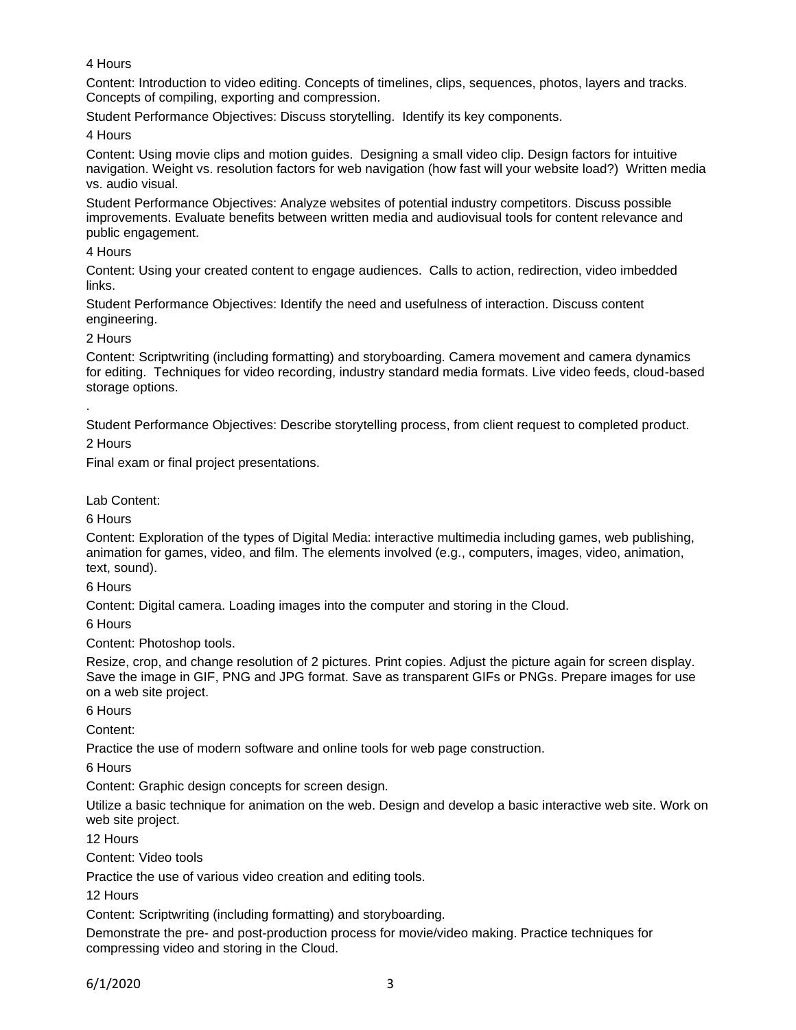## 4 Hours

Content: Introduction to video editing. Concepts of timelines, clips, sequences, photos, layers and tracks. Concepts of compiling, exporting and compression.

Student Performance Objectives: Discuss storytelling. Identify its key components.

4 Hours

Content: Using movie clips and motion guides. Designing a small video clip. Design factors for intuitive navigation. Weight vs. resolution factors for web navigation (how fast will your website load?) Written media vs. audio visual.

Student Performance Objectives: Analyze websites of potential industry competitors. Discuss possible improvements. Evaluate benefits between written media and audiovisual tools for content relevance and public engagement.

## 4 Hours

Content: Using your created content to engage audiences. Calls to action, redirection, video imbedded links.

Student Performance Objectives: Identify the need and usefulness of interaction. Discuss content engineering.

2 Hours

Content: Scriptwriting (including formatting) and storyboarding. Camera movement and camera dynamics for editing. Techniques for video recording, industry standard media formats. Live video feeds, cloud-based storage options.

Student Performance Objectives: Describe storytelling process, from client request to completed product.

2 Hours

.

Final exam or final project presentations.

Lab Content:

6 Hours

Content: Exploration of the types of Digital Media: interactive multimedia including games, web publishing, animation for games, video, and film. The elements involved (e.g., computers, images, video, animation, text, sound).

6 Hours

Content: Digital camera. Loading images into the computer and storing in the Cloud.

6 Hours

Content: Photoshop tools.

Resize, crop, and change resolution of 2 pictures. Print copies. Adjust the picture again for screen display. Save the image in GIF, PNG and JPG format. Save as transparent GIFs or PNGs. Prepare images for use on a web site project.

6 Hours

Content:

Practice the use of modern software and online tools for web page construction.

6 Hours

Content: Graphic design concepts for screen design.

Utilize a basic technique for animation on the web. Design and develop a basic interactive web site. Work on web site project.

12 Hours

Content: Video tools

Practice the use of various video creation and editing tools.

12 Hours

Content: Scriptwriting (including formatting) and storyboarding.

Demonstrate the pre- and post-production process for movie/video making. Practice techniques for compressing video and storing in the Cloud.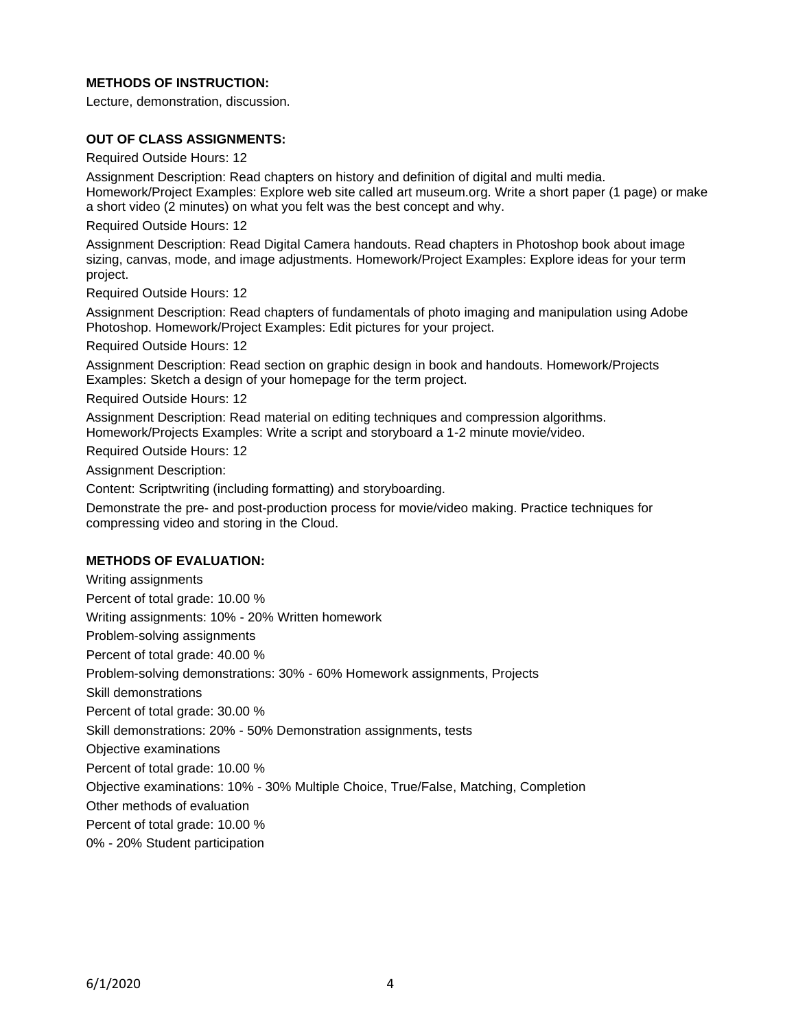## **METHODS OF INSTRUCTION:**

Lecture, demonstration, discussion.

### **OUT OF CLASS ASSIGNMENTS:**

Required Outside Hours: 12

Assignment Description: Read chapters on history and definition of digital and multi media. Homework/Project Examples: Explore web site called art museum.org. Write a short paper (1 page) or make a short video (2 minutes) on what you felt was the best concept and why.

Required Outside Hours: 12

Assignment Description: Read Digital Camera handouts. Read chapters in Photoshop book about image sizing, canvas, mode, and image adjustments. Homework/Project Examples: Explore ideas for your term project.

Required Outside Hours: 12

Assignment Description: Read chapters of fundamentals of photo imaging and manipulation using Adobe Photoshop. Homework/Project Examples: Edit pictures for your project.

Required Outside Hours: 12

Assignment Description: Read section on graphic design in book and handouts. Homework/Projects Examples: Sketch a design of your homepage for the term project.

Required Outside Hours: 12

Assignment Description: Read material on editing techniques and compression algorithms. Homework/Projects Examples: Write a script and storyboard a 1-2 minute movie/video.

Required Outside Hours: 12

Assignment Description:

Content: Scriptwriting (including formatting) and storyboarding.

Demonstrate the pre- and post-production process for movie/video making. Practice techniques for compressing video and storing in the Cloud.

#### **METHODS OF EVALUATION:**

Writing assignments Percent of total grade: 10.00 % Writing assignments: 10% - 20% Written homework Problem-solving assignments Percent of total grade: 40.00 % Problem-solving demonstrations: 30% - 60% Homework assignments, Projects Skill demonstrations Percent of total grade: 30.00 % Skill demonstrations: 20% - 50% Demonstration assignments, tests Objective examinations Percent of total grade: 10.00 % Objective examinations: 10% - 30% Multiple Choice, True/False, Matching, Completion Other methods of evaluation Percent of total grade: 10.00 % 0% - 20% Student participation